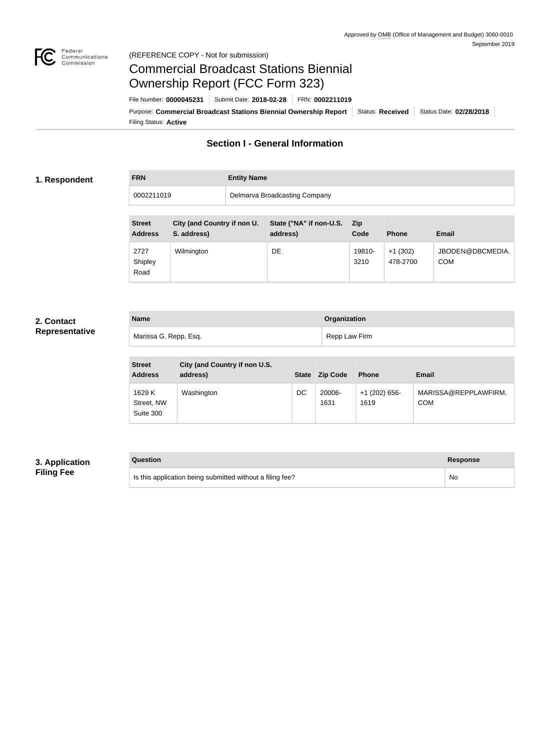

#### Federal<br>Communications<br>Commission (REFERENCE COPY - Not for submission)

# Commercial Broadcast Stations Biennial Ownership Report (FCC Form 323)

Filing Status: **Active** Purpose: Commercial Broadcast Stations Biennial Ownership Report Status: Received Status Date: 02/28/2018 File Number: **0000045231** Submit Date: **2018-02-28** FRN: **0002211019**

## **Section I - General Information**

#### **1. Respondent**

## **FRN Entity Name** 0002211019 Delmarva Broadcasting Company

| <b>Street</b><br><b>Address</b> | City (and Country if non U.<br>S. address) | State ("NA" if non-U.S.<br>address) | <b>Zip</b><br>Code | <b>Phone</b>          | <b>Email</b>                   |
|---------------------------------|--------------------------------------------|-------------------------------------|--------------------|-----------------------|--------------------------------|
| 2727<br>Shipley<br>Road         | Wilmington                                 | DE                                  | 19810-<br>3210     | $+1(302)$<br>478-2700 | JBODEN@DBCMEDIA.<br><b>COM</b> |

#### **2. Contact Representative**

| <b>Name</b>           | <b>Organization</b> |
|-----------------------|---------------------|
| Marissa G. Repp, Esq. | Repp Law Firm       |

| <b>Street</b><br><b>Address</b>   | City (and Country if non U.S.<br>address) | <b>State</b> | <b>Zip Code</b> | <b>Phone</b>            | <b>Email</b>                       |
|-----------------------------------|-------------------------------------------|--------------|-----------------|-------------------------|------------------------------------|
| 1629 K<br>Street, NW<br>Suite 300 | Washington                                | DC           | 20006-<br>1631  | $+1$ (202) 656-<br>1619 | MARISSA@REPPLAWFIRM.<br><b>COM</b> |

### **3. Application Filing Fee**

# **Question Response** Is this application being submitted without a filing fee? No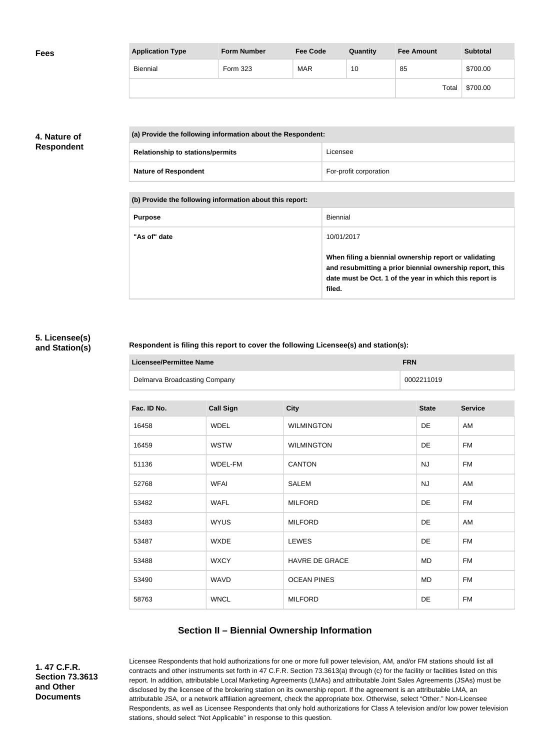| <b>Fees</b> | <b>Application Type</b> | <b>Form Number</b> | <b>Fee Code</b> | Quantity | <b>Fee Amount</b> | <b>Subtotal</b> |
|-------------|-------------------------|--------------------|-----------------|----------|-------------------|-----------------|
|             | Biennial                | Form 323           | <b>MAR</b>      | 10       | 85                | \$700.00        |
|             |                         |                    |                 |          | Total             | \$700.00        |

## **4. Nature of Respondent**

| (a) Provide the following information about the Respondent: |                        |
|-------------------------------------------------------------|------------------------|
| <b>Relationship to stations/permits</b>                     | Licensee               |
| <b>Nature of Respondent</b>                                 | For-profit corporation |

**(b) Provide the following information about this report:**

| <b>Purpose</b> | Biennial                                                                                                                                                                               |
|----------------|----------------------------------------------------------------------------------------------------------------------------------------------------------------------------------------|
| "As of" date   | 10/01/2017                                                                                                                                                                             |
|                | When filing a biennial ownership report or validating<br>and resubmitting a prior biennial ownership report, this<br>date must be Oct. 1 of the year in which this report is<br>filed. |

#### **5. Licensee(s) and Station(s)**

#### **Respondent is filing this report to cover the following Licensee(s) and station(s):**

| Licensee/Permittee Name       | <b>FRN</b> |
|-------------------------------|------------|
| Delmarva Broadcasting Company | 0002211019 |

| Fac. ID No. | <b>Call Sign</b> | <b>City</b>           | <b>State</b> | <b>Service</b> |
|-------------|------------------|-----------------------|--------------|----------------|
| 16458       | <b>WDEL</b>      | <b>WILMINGTON</b>     | <b>DE</b>    | AM             |
| 16459       | <b>WSTW</b>      | <b>WILMINGTON</b>     | DE           | FM             |
| 51136       | WDEL-FM          | <b>CANTON</b>         | <b>NJ</b>    | FM             |
| 52768       | <b>WFAI</b>      | <b>SALEM</b>          | <b>NJ</b>    | AM             |
| 53482       | <b>WAFL</b>      | <b>MILFORD</b>        | DE           | <b>FM</b>      |
| 53483       | <b>WYUS</b>      | <b>MILFORD</b>        | DE           | AM             |
| 53487       | <b>WXDE</b>      | <b>LEWES</b>          | DE           | FM             |
| 53488       | <b>WXCY</b>      | <b>HAVRE DE GRACE</b> | MD           | FM             |
| 53490       | WAVD             | <b>OCEAN PINES</b>    | MD           | FM             |
| 58763       | <b>WNCL</b>      | <b>MILFORD</b>        | DE           | <b>FM</b>      |
|             |                  |                       |              |                |

## **Section II – Biennial Ownership Information**

**1. 47 C.F.R. Section 73.3613 and Other Documents**

Licensee Respondents that hold authorizations for one or more full power television, AM, and/or FM stations should list all contracts and other instruments set forth in 47 C.F.R. Section 73.3613(a) through (c) for the facility or facilities listed on this report. In addition, attributable Local Marketing Agreements (LMAs) and attributable Joint Sales Agreements (JSAs) must be disclosed by the licensee of the brokering station on its ownership report. If the agreement is an attributable LMA, an attributable JSA, or a network affiliation agreement, check the appropriate box. Otherwise, select "Other." Non-Licensee Respondents, as well as Licensee Respondents that only hold authorizations for Class A television and/or low power television stations, should select "Not Applicable" in response to this question.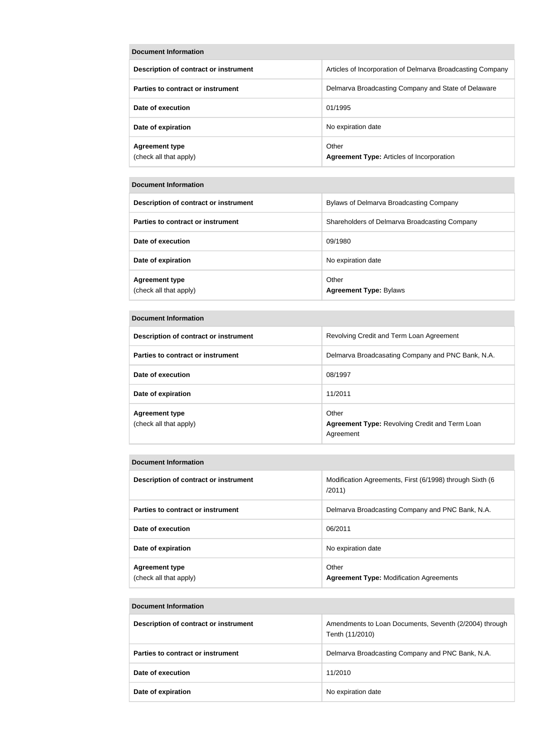| <b>Document Information</b>                     |                                                            |
|-------------------------------------------------|------------------------------------------------------------|
| Description of contract or instrument           | Articles of Incorporation of Delmarva Broadcasting Company |
| Parties to contract or instrument               | Delmarva Broadcasting Company and State of Delaware        |
| Date of execution                               | 01/1995                                                    |
| Date of expiration                              | No expiration date                                         |
| <b>Agreement type</b><br>(check all that apply) | Other<br><b>Agreement Type: Articles of Incorporation</b>  |

| Description of contract or instrument           | Bylaws of Delmarva Broadcasting Company       |
|-------------------------------------------------|-----------------------------------------------|
| Parties to contract or instrument               | Shareholders of Delmarva Broadcasting Company |
| Date of execution                               | 09/1980                                       |
| Date of expiration                              | No expiration date                            |
| <b>Agreement type</b><br>(check all that apply) | Other<br><b>Agreement Type: Bylaws</b>        |

#### **Document Information**

| Description of contract or instrument           | Revolving Credit and Term Loan Agreement                                    |
|-------------------------------------------------|-----------------------------------------------------------------------------|
| Parties to contract or instrument               | Delmarva Broadcasating Company and PNC Bank, N.A.                           |
| Date of execution                               | 08/1997                                                                     |
| Date of expiration                              | 11/2011                                                                     |
| <b>Agreement type</b><br>(check all that apply) | Other<br><b>Agreement Type: Revolving Credit and Term Loan</b><br>Agreement |

#### **Document Information**

| Description of contract or instrument           | Modification Agreements, First (6/1998) through Sixth (6<br>/2011) |
|-------------------------------------------------|--------------------------------------------------------------------|
| Parties to contract or instrument               | Delmarva Broadcasting Company and PNC Bank, N.A.                   |
| Date of execution                               | 06/2011                                                            |
| Date of expiration                              | No expiration date                                                 |
| <b>Agreement type</b><br>(check all that apply) | Other<br><b>Agreement Type: Modification Agreements</b>            |

#### **Document Information**

| Description of contract or instrument | Amendments to Loan Documents, Seventh (2/2004) through<br>Tenth (11/2010) |
|---------------------------------------|---------------------------------------------------------------------------|
| Parties to contract or instrument     | Delmarva Broadcasting Company and PNC Bank, N.A.                          |
| Date of execution                     | 11/2010                                                                   |
| Date of expiration                    | No expiration date                                                        |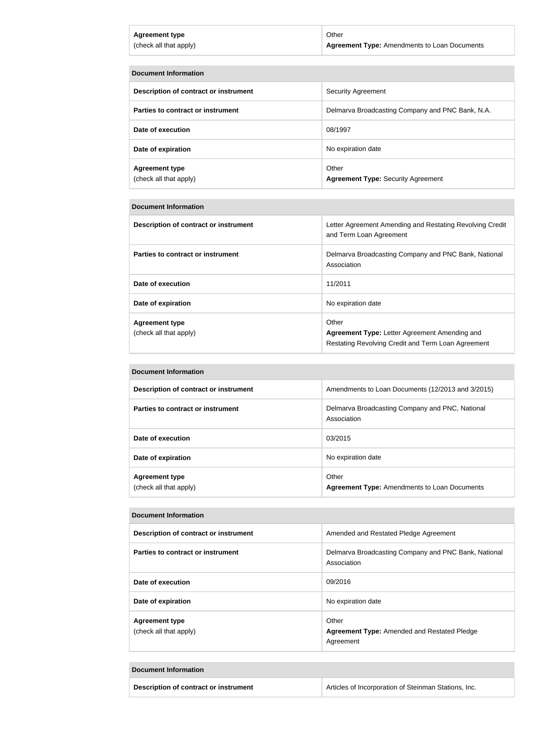| <b>Agreement type</b>  | Other                                               |
|------------------------|-----------------------------------------------------|
| (check all that apply) | <b>Agreement Type:</b> Amendments to Loan Documents |
|                        |                                                     |

| <b>Document Information</b>                     |                                                    |
|-------------------------------------------------|----------------------------------------------------|
| Description of contract or instrument           | Security Agreement                                 |
| Parties to contract or instrument               | Delmarva Broadcasting Company and PNC Bank, N.A.   |
| Date of execution                               | 08/1997                                            |
| Date of expiration                              | No expiration date                                 |
| <b>Agreement type</b><br>(check all that apply) | Other<br><b>Agreement Type: Security Agreement</b> |

| Description of contract or instrument           | Letter Agreement Amending and Restating Revolving Credit<br>and Term Loan Agreement                                 |
|-------------------------------------------------|---------------------------------------------------------------------------------------------------------------------|
| Parties to contract or instrument               | Delmarva Broadcasting Company and PNC Bank, National<br>Association                                                 |
| Date of execution                               | 11/2011                                                                                                             |
| Date of expiration                              | No expiration date                                                                                                  |
| <b>Agreement type</b><br>(check all that apply) | Other<br><b>Agreement Type: Letter Agreement Amending and</b><br>Restating Revolving Credit and Term Loan Agreement |

#### **Document Information**

| Description of contract or instrument           | Amendments to Loan Documents (12/2013 and 3/2015)              |
|-------------------------------------------------|----------------------------------------------------------------|
| Parties to contract or instrument               | Delmarva Broadcasting Company and PNC, National<br>Association |
| Date of execution                               | 03/2015                                                        |
| Date of expiration                              | No expiration date                                             |
| <b>Agreement type</b><br>(check all that apply) | Other<br><b>Agreement Type: Amendments to Loan Documents</b>   |

#### **Document Information**

| Description of contract or instrument           | Amended and Restated Pledge Agreement                                    |
|-------------------------------------------------|--------------------------------------------------------------------------|
| Parties to contract or instrument               | Delmarva Broadcasting Company and PNC Bank, National<br>Association      |
| Date of execution                               | 09/2016                                                                  |
| Date of expiration                              | No expiration date                                                       |
| <b>Agreement type</b><br>(check all that apply) | Other<br><b>Agreement Type: Amended and Restated Pledge</b><br>Agreement |

## **Document Information**

**Description of contract or instrument Articles of Incorporation of Steinman Stations, Inc.**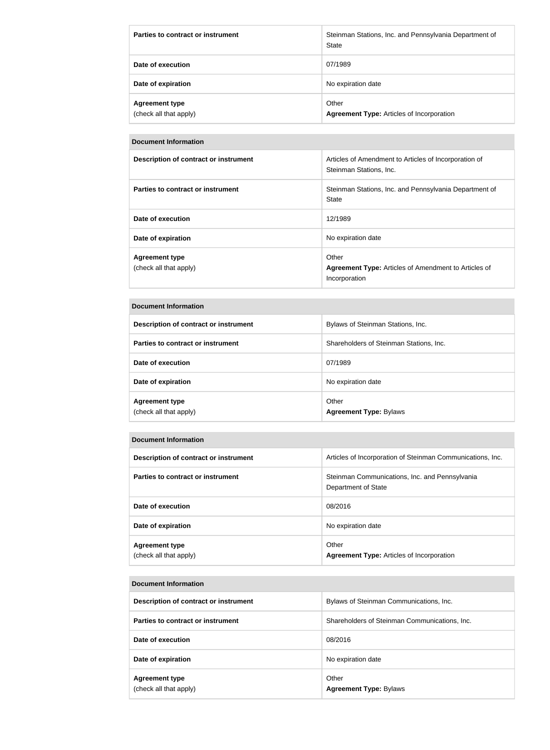| Parties to contract or instrument               | Steinman Stations, Inc. and Pennsylvania Department of<br>State |
|-------------------------------------------------|-----------------------------------------------------------------|
| Date of execution                               | 07/1989                                                         |
| Date of expiration                              | No expiration date                                              |
| <b>Agreement type</b><br>(check all that apply) | Other<br><b>Agreement Type: Articles of Incorporation</b>       |

| <b>Description of contract or instrument</b>    | Articles of Amendment to Articles of Incorporation of<br>Steinman Stations, Inc.      |
|-------------------------------------------------|---------------------------------------------------------------------------------------|
| Parties to contract or instrument               | Steinman Stations, Inc. and Pennsylvania Department of<br>State                       |
| Date of execution                               | 12/1989                                                                               |
| Date of expiration                              | No expiration date                                                                    |
| <b>Agreement type</b><br>(check all that apply) | Other<br><b>Agreement Type:</b> Articles of Amendment to Articles of<br>Incorporation |

#### **Document Information**

| Description of contract or instrument           | Bylaws of Steinman Stations, Inc.       |
|-------------------------------------------------|-----------------------------------------|
| Parties to contract or instrument               | Shareholders of Steinman Stations, Inc. |
| Date of execution                               | 07/1989                                 |
| Date of expiration                              | No expiration date                      |
| <b>Agreement type</b><br>(check all that apply) | Other<br><b>Agreement Type: Bylaws</b>  |

### **Document Information**

| Description of contract or instrument           | Articles of Incorporation of Steinman Communications, Inc.            |
|-------------------------------------------------|-----------------------------------------------------------------------|
| Parties to contract or instrument               | Steinman Communications, Inc. and Pennsylvania<br>Department of State |
| Date of execution                               | 08/2016                                                               |
| Date of expiration                              | No expiration date                                                    |
| <b>Agreement type</b><br>(check all that apply) | Other<br><b>Agreement Type: Articles of Incorporation</b>             |

#### **Document Information**

| Description of contract or instrument           | Bylaws of Steinman Communications, Inc.       |
|-------------------------------------------------|-----------------------------------------------|
| Parties to contract or instrument               | Shareholders of Steinman Communications, Inc. |
| Date of execution                               | 08/2016                                       |
| Date of expiration                              | No expiration date                            |
| <b>Agreement type</b><br>(check all that apply) | Other<br><b>Agreement Type: Bylaws</b>        |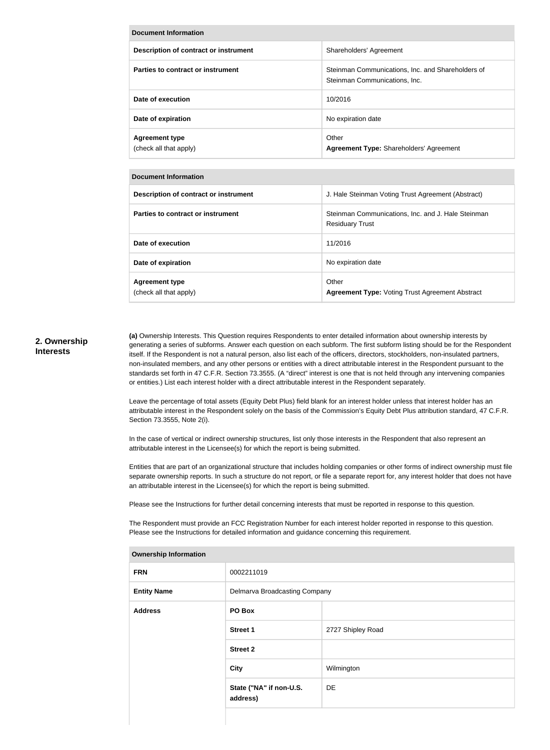| <b>Document Information</b>                     |                                                                                    |
|-------------------------------------------------|------------------------------------------------------------------------------------|
| Description of contract or instrument           | Shareholders' Agreement                                                            |
| Parties to contract or instrument               | Steinman Communications, Inc. and Shareholders of<br>Steinman Communications, Inc. |
| Date of execution                               | 10/2016                                                                            |
| Date of expiration                              | No expiration date                                                                 |
| <b>Agreement type</b><br>(check all that apply) | Other<br><b>Agreement Type: Shareholders' Agreement</b>                            |

| Description of contract or instrument           | J. Hale Steinman Voting Trust Agreement (Abstract)                           |
|-------------------------------------------------|------------------------------------------------------------------------------|
| Parties to contract or instrument               | Steinman Communications, Inc. and J. Hale Steinman<br><b>Residuary Trust</b> |
| Date of execution                               | 11/2016                                                                      |
| Date of expiration                              | No expiration date                                                           |
| <b>Agreement type</b><br>(check all that apply) | Other<br><b>Agreement Type: Voting Trust Agreement Abstract</b>              |

#### **2. Ownership Interests**

**(a)** Ownership Interests. This Question requires Respondents to enter detailed information about ownership interests by generating a series of subforms. Answer each question on each subform. The first subform listing should be for the Respondent itself. If the Respondent is not a natural person, also list each of the officers, directors, stockholders, non-insulated partners, non-insulated members, and any other persons or entities with a direct attributable interest in the Respondent pursuant to the standards set forth in 47 C.F.R. Section 73.3555. (A "direct" interest is one that is not held through any intervening companies or entities.) List each interest holder with a direct attributable interest in the Respondent separately.

Leave the percentage of total assets (Equity Debt Plus) field blank for an interest holder unless that interest holder has an attributable interest in the Respondent solely on the basis of the Commission's Equity Debt Plus attribution standard, 47 C.F.R. Section 73.3555, Note 2(i).

In the case of vertical or indirect ownership structures, list only those interests in the Respondent that also represent an attributable interest in the Licensee(s) for which the report is being submitted.

Entities that are part of an organizational structure that includes holding companies or other forms of indirect ownership must file separate ownership reports. In such a structure do not report, or file a separate report for, any interest holder that does not have an attributable interest in the Licensee(s) for which the report is being submitted.

Please see the Instructions for further detail concerning interests that must be reported in response to this question.

The Respondent must provide an FCC Registration Number for each interest holder reported in response to this question. Please see the Instructions for detailed information and guidance concerning this requirement.

| Ownership Intormation |                                     |                   |
|-----------------------|-------------------------------------|-------------------|
| <b>FRN</b>            | 0002211019                          |                   |
| <b>Entity Name</b>    | Delmarva Broadcasting Company       |                   |
| <b>Address</b>        | PO Box                              |                   |
|                       | <b>Street 1</b>                     | 2727 Shipley Road |
|                       | <b>Street 2</b>                     |                   |
|                       | <b>City</b>                         | Wilmington        |
|                       | State ("NA" if non-U.S.<br>address) | DE                |
|                       |                                     |                   |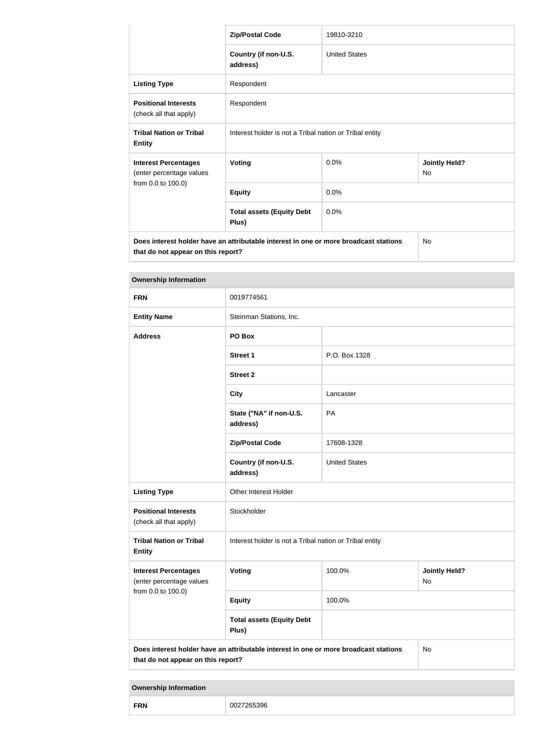|                                                                                                                            | <b>Zip/Postal Code</b>                                  | 19810-3210           |                                   |
|----------------------------------------------------------------------------------------------------------------------------|---------------------------------------------------------|----------------------|-----------------------------------|
|                                                                                                                            | Country (if non-U.S.<br>address)                        | <b>United States</b> |                                   |
| <b>Listing Type</b>                                                                                                        | Respondent                                              |                      |                                   |
| <b>Positional Interests</b><br>(check all that apply)                                                                      | Respondent                                              |                      |                                   |
| <b>Tribal Nation or Tribal</b><br><b>Entity</b>                                                                            | Interest holder is not a Tribal nation or Tribal entity |                      |                                   |
| <b>Interest Percentages</b><br>(enter percentage values                                                                    | <b>Voting</b>                                           | 0.0%                 | <b>Jointly Held?</b><br><b>No</b> |
| from 0.0 to 100.0)                                                                                                         | <b>Equity</b>                                           | 0.0%                 |                                   |
|                                                                                                                            | <b>Total assets (Equity Debt</b><br>Plus)               | 0.0%                 |                                   |
| Does interest holder have an attributable interest in one or more broadcast stations<br>that do not appear on this report? |                                                         |                      | <b>No</b>                         |

| <b>Ownership Information</b>                            |                                                                                      |                                                         |                            |  |
|---------------------------------------------------------|--------------------------------------------------------------------------------------|---------------------------------------------------------|----------------------------|--|
| <b>FRN</b>                                              | 0019774561                                                                           |                                                         |                            |  |
| <b>Entity Name</b>                                      | Steinman Stations, Inc.                                                              |                                                         |                            |  |
| <b>Address</b>                                          | PO Box                                                                               |                                                         |                            |  |
|                                                         | <b>Street 1</b>                                                                      | P.O. Box 1328                                           |                            |  |
|                                                         | <b>Street 2</b>                                                                      |                                                         |                            |  |
|                                                         | <b>City</b>                                                                          | Lancaster                                               |                            |  |
|                                                         | State ("NA" if non-U.S.<br>address)                                                  | PA                                                      |                            |  |
|                                                         | <b>Zip/Postal Code</b>                                                               | 17608-1328                                              |                            |  |
|                                                         | Country (if non-U.S.<br>address)                                                     | <b>United States</b>                                    |                            |  |
| <b>Listing Type</b>                                     | Other Interest Holder                                                                |                                                         |                            |  |
| <b>Positional Interests</b><br>(check all that apply)   | Stockholder                                                                          |                                                         |                            |  |
| <b>Tribal Nation or Tribal</b><br><b>Entity</b>         |                                                                                      | Interest holder is not a Tribal nation or Tribal entity |                            |  |
| <b>Interest Percentages</b><br>(enter percentage values | Voting                                                                               | 100.0%                                                  | <b>Jointly Held?</b><br>No |  |
| from 0.0 to 100.0)                                      | <b>Equity</b>                                                                        | 100.0%                                                  |                            |  |
|                                                         | <b>Total assets (Equity Debt</b><br>Plus)                                            |                                                         |                            |  |
| that do not appear on this report?                      | Does interest holder have an attributable interest in one or more broadcast stations |                                                         | No                         |  |

| <b>FRN</b> |  |
|------------|--|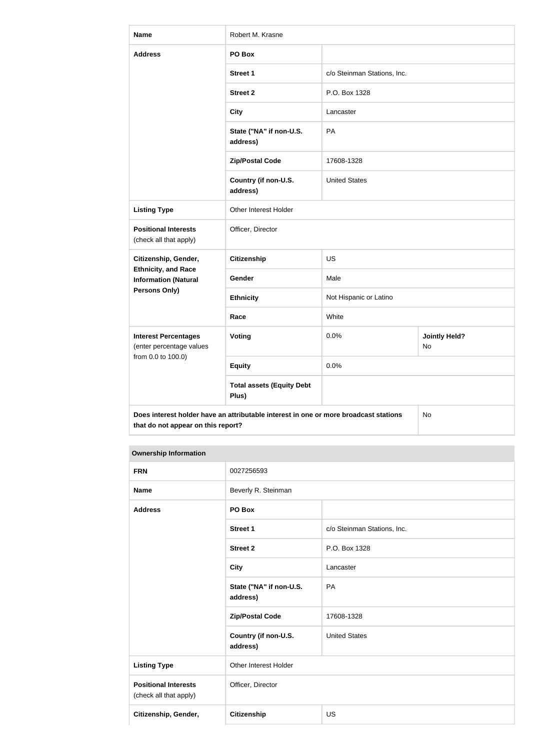| <b>Name</b>                                                                   | Robert M. Krasne                                                                     |                             |                            |
|-------------------------------------------------------------------------------|--------------------------------------------------------------------------------------|-----------------------------|----------------------------|
| <b>Address</b>                                                                | PO Box                                                                               |                             |                            |
|                                                                               | <b>Street 1</b>                                                                      | c/o Steinman Stations, Inc. |                            |
|                                                                               | <b>Street 2</b>                                                                      | P.O. Box 1328               |                            |
|                                                                               | <b>City</b>                                                                          | Lancaster                   |                            |
|                                                                               | State ("NA" if non-U.S.<br>address)                                                  | PA                          |                            |
|                                                                               | <b>Zip/Postal Code</b>                                                               | 17608-1328                  |                            |
|                                                                               | Country (if non-U.S.<br>address)                                                     | <b>United States</b>        |                            |
| <b>Listing Type</b>                                                           | Other Interest Holder                                                                |                             |                            |
| <b>Positional Interests</b><br>(check all that apply)                         | Officer, Director                                                                    |                             |                            |
| Citizenship, Gender,                                                          | <b>Citizenship</b>                                                                   | <b>US</b>                   |                            |
| <b>Ethnicity, and Race</b><br><b>Information (Natural</b>                     | Gender                                                                               | Male                        |                            |
| <b>Persons Only)</b>                                                          | <b>Ethnicity</b>                                                                     | Not Hispanic or Latino      |                            |
|                                                                               | Race                                                                                 | White                       |                            |
| <b>Interest Percentages</b><br>(enter percentage values<br>from 0.0 to 100.0) | <b>Voting</b>                                                                        | 0.0%                        | <b>Jointly Held?</b><br>No |
|                                                                               | <b>Equity</b>                                                                        | 0.0%                        |                            |
|                                                                               | <b>Total assets (Equity Debt</b><br>Plus)                                            |                             |                            |
| that do not appear on this report?                                            | Does interest holder have an attributable interest in one or more broadcast stations |                             | No                         |

| <b>FRN</b>                                            | 0027256593                          |                             |
|-------------------------------------------------------|-------------------------------------|-----------------------------|
| <b>Name</b>                                           | Beverly R. Steinman                 |                             |
| <b>Address</b>                                        | PO Box                              |                             |
|                                                       | <b>Street 1</b>                     | c/o Steinman Stations, Inc. |
|                                                       | <b>Street 2</b>                     | P.O. Box 1328               |
|                                                       | <b>City</b>                         | Lancaster                   |
|                                                       | State ("NA" if non-U.S.<br>address) | PA                          |
|                                                       | <b>Zip/Postal Code</b>              | 17608-1328                  |
|                                                       | Country (if non-U.S.<br>address)    | <b>United States</b>        |
| <b>Listing Type</b>                                   | Other Interest Holder               |                             |
| <b>Positional Interests</b><br>(check all that apply) | Officer, Director                   |                             |
| Citizenship, Gender,                                  | Citizenship                         | <b>US</b>                   |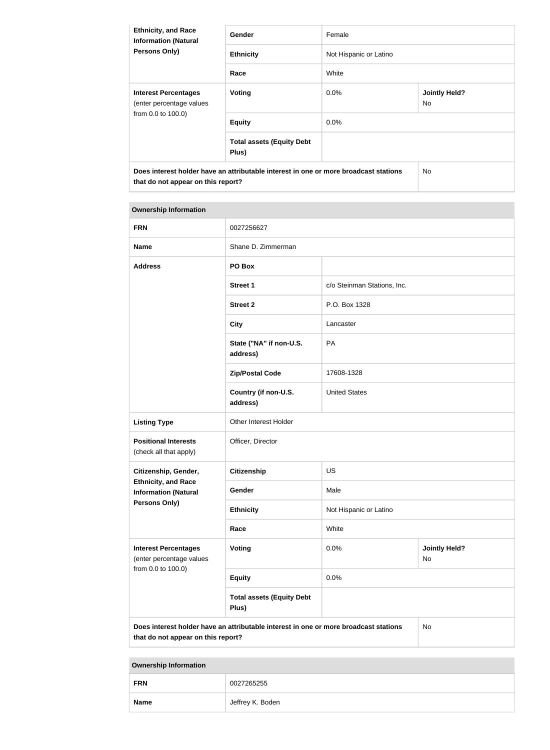| <b>Ethnicity, and Race</b><br><b>Information (Natural</b><br><b>Persons Only)</b>                                          | Gender                                    | Female                 |                             |
|----------------------------------------------------------------------------------------------------------------------------|-------------------------------------------|------------------------|-----------------------------|
|                                                                                                                            | <b>Ethnicity</b>                          | Not Hispanic or Latino |                             |
|                                                                                                                            | Race                                      | White                  |                             |
| <b>Interest Percentages</b><br>(enter percentage values<br>from 0.0 to 100.0)                                              | Voting                                    | $0.0\%$                | <b>Jointly Held?</b><br>No. |
|                                                                                                                            | <b>Equity</b>                             | $0.0\%$                |                             |
|                                                                                                                            | <b>Total assets (Equity Debt</b><br>Plus) |                        |                             |
| Does interest holder have an attributable interest in one or more broadcast stations<br>that do not appear on this report? |                                           |                        | No.                         |

| <b>Ownership Information</b>                                                                                                     |                                           |                             |                            |
|----------------------------------------------------------------------------------------------------------------------------------|-------------------------------------------|-----------------------------|----------------------------|
| <b>FRN</b>                                                                                                                       | 0027256627                                |                             |                            |
| <b>Name</b>                                                                                                                      | Shane D. Zimmerman                        |                             |                            |
| <b>Address</b>                                                                                                                   | PO Box                                    |                             |                            |
|                                                                                                                                  | <b>Street 1</b>                           | c/o Steinman Stations, Inc. |                            |
|                                                                                                                                  | <b>Street 2</b>                           | P.O. Box 1328               |                            |
|                                                                                                                                  | <b>City</b>                               | Lancaster                   |                            |
|                                                                                                                                  | State ("NA" if non-U.S.<br>address)       | PA                          |                            |
|                                                                                                                                  | <b>Zip/Postal Code</b>                    | 17608-1328                  |                            |
|                                                                                                                                  | Country (if non-U.S.<br>address)          | <b>United States</b>        |                            |
| <b>Listing Type</b>                                                                                                              | Other Interest Holder                     |                             |                            |
| <b>Positional Interests</b><br>(check all that apply)                                                                            | Officer, Director                         |                             |                            |
| Citizenship, Gender,                                                                                                             | <b>Citizenship</b>                        | <b>US</b>                   |                            |
| <b>Ethnicity, and Race</b><br><b>Information (Natural</b>                                                                        | Gender                                    | Male                        |                            |
| Persons Only)                                                                                                                    | <b>Ethnicity</b>                          | Not Hispanic or Latino      |                            |
|                                                                                                                                  | Race                                      | White                       |                            |
| <b>Interest Percentages</b><br>(enter percentage values<br>from 0.0 to 100.0)                                                    | Voting                                    | 0.0%                        | <b>Jointly Held?</b><br>No |
|                                                                                                                                  | <b>Equity</b>                             | 0.0%                        |                            |
|                                                                                                                                  | <b>Total assets (Equity Debt</b><br>Plus) |                             |                            |
| Does interest holder have an attributable interest in one or more broadcast stations<br>No<br>that do not appear on this report? |                                           |                             |                            |

| --          |                  |
|-------------|------------------|
| <b>FRN</b>  | 0027265255       |
| <b>Name</b> | Jeffrey K. Boden |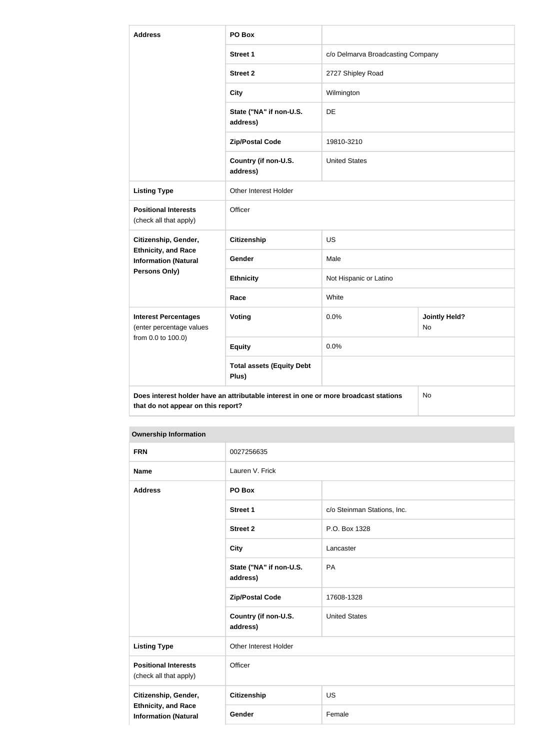| <b>Address</b>                                                                                                                   | PO Box                                    |                                   |                                   |
|----------------------------------------------------------------------------------------------------------------------------------|-------------------------------------------|-----------------------------------|-----------------------------------|
|                                                                                                                                  | <b>Street 1</b>                           | c/o Delmarva Broadcasting Company |                                   |
|                                                                                                                                  | <b>Street 2</b>                           | 2727 Shipley Road                 |                                   |
|                                                                                                                                  | <b>City</b>                               | Wilmington                        |                                   |
|                                                                                                                                  | State ("NA" if non-U.S.<br>address)       | DE                                |                                   |
|                                                                                                                                  | <b>Zip/Postal Code</b>                    | 19810-3210                        |                                   |
|                                                                                                                                  | Country (if non-U.S.<br>address)          | <b>United States</b>              |                                   |
| <b>Listing Type</b>                                                                                                              | Other Interest Holder                     |                                   |                                   |
| <b>Positional Interests</b><br>(check all that apply)                                                                            | Officer                                   |                                   |                                   |
| Citizenship, Gender,                                                                                                             | <b>Citizenship</b>                        | <b>US</b>                         |                                   |
| <b>Ethnicity, and Race</b><br><b>Information (Natural</b>                                                                        | Gender                                    | Male                              |                                   |
| <b>Persons Only)</b>                                                                                                             | <b>Ethnicity</b>                          | Not Hispanic or Latino            |                                   |
|                                                                                                                                  | Race                                      | White                             |                                   |
| <b>Interest Percentages</b><br>(enter percentage values<br>from 0.0 to 100.0)                                                    | <b>Voting</b>                             | 0.0%                              | <b>Jointly Held?</b><br><b>No</b> |
|                                                                                                                                  | <b>Equity</b>                             | 0.0%                              |                                   |
|                                                                                                                                  | <b>Total assets (Equity Debt</b><br>Plus) |                                   |                                   |
| Does interest holder have an attributable interest in one or more broadcast stations<br>No<br>that do not appear on this report? |                                           |                                   |                                   |

| <b>FRN</b>                                                                        | 0027256635                          |                             |
|-----------------------------------------------------------------------------------|-------------------------------------|-----------------------------|
| <b>Name</b>                                                                       | Lauren V. Frick                     |                             |
| <b>Address</b>                                                                    | PO Box                              |                             |
|                                                                                   | <b>Street 1</b>                     | c/o Steinman Stations, Inc. |
|                                                                                   | <b>Street 2</b>                     | P.O. Box 1328               |
|                                                                                   | <b>City</b>                         | Lancaster                   |
|                                                                                   | State ("NA" if non-U.S.<br>address) | PA                          |
|                                                                                   | <b>Zip/Postal Code</b>              | 17608-1328                  |
|                                                                                   | Country (if non-U.S.<br>address)    | <b>United States</b>        |
| <b>Listing Type</b>                                                               | Other Interest Holder               |                             |
| <b>Positional Interests</b><br>(check all that apply)                             | Officer                             |                             |
| Citizenship, Gender,<br><b>Ethnicity, and Race</b><br><b>Information (Natural</b> | Citizenship                         | <b>US</b>                   |
|                                                                                   | Gender                              | Female                      |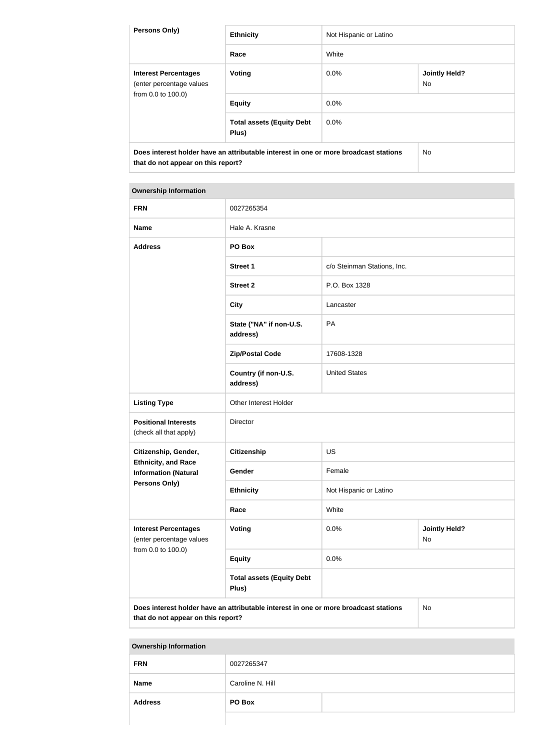| <b>Persons Only)</b>                                                          | <b>Ethnicity</b>                                                                     | Not Hispanic or Latino |                                   |  |
|-------------------------------------------------------------------------------|--------------------------------------------------------------------------------------|------------------------|-----------------------------------|--|
|                                                                               | Race                                                                                 | White                  |                                   |  |
| <b>Interest Percentages</b><br>(enter percentage values<br>from 0.0 to 100.0) | Voting                                                                               | $0.0\%$                | <b>Jointly Held?</b><br><b>No</b> |  |
|                                                                               | <b>Equity</b>                                                                        | 0.0%                   |                                   |  |
|                                                                               | <b>Total assets (Equity Debt</b><br>Plus)                                            | $0.0\%$                |                                   |  |
| that do not appear on this report?                                            | Does interest holder have an attributable interest in one or more broadcast stations |                        | No.                               |  |

| <b>FRN</b>                                                                    | 0027265354                                                                           |                             |                            |
|-------------------------------------------------------------------------------|--------------------------------------------------------------------------------------|-----------------------------|----------------------------|
| <b>Name</b>                                                                   | Hale A. Krasne                                                                       |                             |                            |
| <b>Address</b>                                                                | PO Box                                                                               |                             |                            |
|                                                                               | <b>Street 1</b>                                                                      | c/o Steinman Stations, Inc. |                            |
|                                                                               | <b>Street 2</b>                                                                      | P.O. Box 1328               |                            |
|                                                                               | <b>City</b>                                                                          | Lancaster                   |                            |
|                                                                               | State ("NA" if non-U.S.<br>address)                                                  | PA                          |                            |
|                                                                               | <b>Zip/Postal Code</b>                                                               | 17608-1328                  |                            |
|                                                                               | Country (if non-U.S.<br>address)                                                     | <b>United States</b>        |                            |
| <b>Listing Type</b>                                                           | Other Interest Holder                                                                |                             |                            |
| <b>Positional Interests</b><br>(check all that apply)                         | Director                                                                             |                             |                            |
| Citizenship, Gender,                                                          | <b>Citizenship</b>                                                                   | <b>US</b>                   |                            |
| <b>Ethnicity, and Race</b><br><b>Information (Natural</b>                     | Gender                                                                               | Female                      |                            |
| <b>Persons Only)</b>                                                          | <b>Ethnicity</b>                                                                     | Not Hispanic or Latino      |                            |
|                                                                               | Race                                                                                 | White                       |                            |
| <b>Interest Percentages</b><br>(enter percentage values<br>from 0.0 to 100.0) | <b>Voting</b>                                                                        | 0.0%                        | <b>Jointly Held?</b><br>No |
|                                                                               | <b>Equity</b>                                                                        | 0.0%                        |                            |
|                                                                               | <b>Total assets (Equity Debt</b><br>Plus)                                            |                             |                            |
| that do not appear on this report?                                            | Does interest holder have an attributable interest in one or more broadcast stations |                             | No                         |

| <b>FRN</b>     | 0027265347       |  |
|----------------|------------------|--|
| <b>Name</b>    | Caroline N. Hill |  |
| <b>Address</b> | PO Box           |  |
|                |                  |  |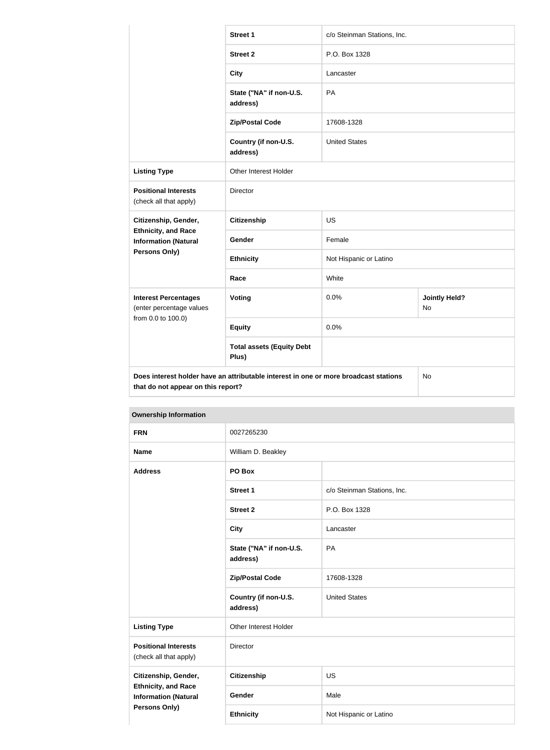|                                                           | <b>Street 1</b>                                                                      | c/o Steinman Stations, Inc. |                                   |
|-----------------------------------------------------------|--------------------------------------------------------------------------------------|-----------------------------|-----------------------------------|
|                                                           | <b>Street 2</b>                                                                      | P.O. Box 1328               |                                   |
|                                                           | <b>City</b>                                                                          | Lancaster                   |                                   |
|                                                           | State ("NA" if non-U.S.<br>address)                                                  | PA                          |                                   |
|                                                           | <b>Zip/Postal Code</b>                                                               | 17608-1328                  |                                   |
|                                                           | Country (if non-U.S.<br>address)                                                     | <b>United States</b>        |                                   |
| <b>Listing Type</b>                                       | Other Interest Holder                                                                |                             |                                   |
| <b>Positional Interests</b><br>(check all that apply)     | <b>Director</b>                                                                      |                             |                                   |
| Citizenship, Gender,                                      | <b>Citizenship</b>                                                                   | <b>US</b>                   |                                   |
| <b>Ethnicity, and Race</b><br><b>Information (Natural</b> | Gender                                                                               | Female                      |                                   |
| Persons Only)                                             | <b>Ethnicity</b>                                                                     | Not Hispanic or Latino      |                                   |
|                                                           | Race                                                                                 | White                       |                                   |
| <b>Interest Percentages</b><br>(enter percentage values   | Voting                                                                               | 0.0%                        | <b>Jointly Held?</b><br><b>No</b> |
| from 0.0 to 100.0)                                        | <b>Equity</b>                                                                        | 0.0%                        |                                   |
|                                                           | <b>Total assets (Equity Debt</b><br>Plus)                                            |                             |                                   |
| that do not appear on this report?                        | Does interest holder have an attributable interest in one or more broadcast stations |                             | No                                |

| <b>Ownership Information</b>                                                      |                                     |                             |  |
|-----------------------------------------------------------------------------------|-------------------------------------|-----------------------------|--|
| <b>FRN</b>                                                                        | 0027265230                          |                             |  |
| <b>Name</b>                                                                       | William D. Beakley                  |                             |  |
| <b>Address</b>                                                                    | PO Box                              |                             |  |
|                                                                                   | <b>Street 1</b>                     | c/o Steinman Stations, Inc. |  |
|                                                                                   | <b>Street 2</b>                     | P.O. Box 1328               |  |
|                                                                                   | <b>City</b>                         | Lancaster                   |  |
|                                                                                   | State ("NA" if non-U.S.<br>address) | <b>PA</b>                   |  |
|                                                                                   | <b>Zip/Postal Code</b>              | 17608-1328                  |  |
|                                                                                   | Country (if non-U.S.<br>address)    | <b>United States</b>        |  |
| <b>Listing Type</b>                                                               | Other Interest Holder               |                             |  |
| <b>Positional Interests</b><br>(check all that apply)                             | Director                            |                             |  |
| Citizenship, Gender,<br><b>Ethnicity, and Race</b><br><b>Information (Natural</b> | <b>Citizenship</b>                  | US                          |  |
|                                                                                   | Gender                              | Male                        |  |
| <b>Persons Only)</b>                                                              | <b>Ethnicity</b>                    | Not Hispanic or Latino      |  |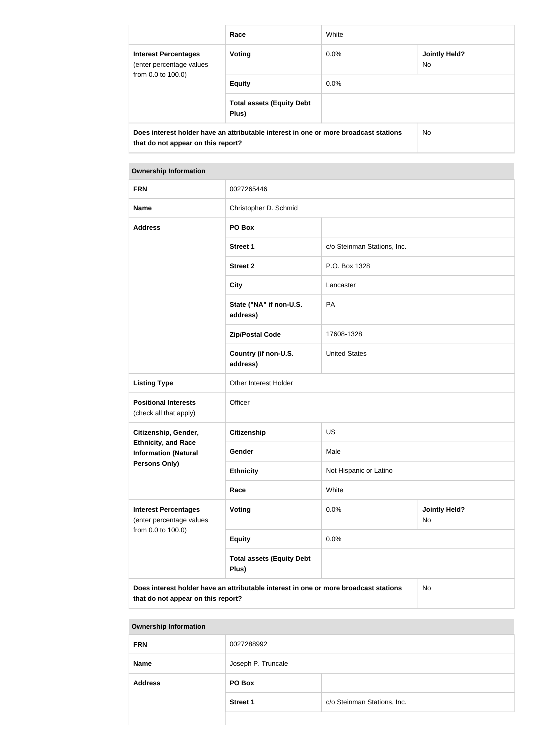|                                                                                                                            | Race                                      | White     |                             |
|----------------------------------------------------------------------------------------------------------------------------|-------------------------------------------|-----------|-----------------------------|
| <b>Interest Percentages</b><br>(enter percentage values<br>from 0.0 to 100.0)                                              | Voting                                    | $0.0\%$   | <b>Jointly Held?</b><br>No. |
|                                                                                                                            | <b>Equity</b>                             | $0.0\%$   |                             |
|                                                                                                                            | <b>Total assets (Equity Debt</b><br>Plus) |           |                             |
| Does interest holder have an attributable interest in one or more broadcast stations<br>that do not appear on this report? |                                           | <b>No</b> |                             |

| <b>Ownership Information</b>                                                  |                                                                                      |                                    |    |
|-------------------------------------------------------------------------------|--------------------------------------------------------------------------------------|------------------------------------|----|
| <b>FRN</b>                                                                    | 0027265446                                                                           |                                    |    |
| <b>Name</b>                                                                   | Christopher D. Schmid                                                                |                                    |    |
| <b>Address</b>                                                                | PO Box                                                                               |                                    |    |
|                                                                               | <b>Street 1</b>                                                                      | c/o Steinman Stations, Inc.        |    |
|                                                                               | <b>Street 2</b>                                                                      | P.O. Box 1328                      |    |
|                                                                               | <b>City</b>                                                                          | Lancaster                          |    |
|                                                                               | State ("NA" if non-U.S.<br>address)                                                  | PA                                 |    |
|                                                                               | <b>Zip/Postal Code</b>                                                               | 17608-1328                         |    |
|                                                                               | Country (if non-U.S.<br>address)                                                     | <b>United States</b>               |    |
| <b>Listing Type</b>                                                           | Other Interest Holder                                                                |                                    |    |
| <b>Positional Interests</b><br>(check all that apply)                         | Officer                                                                              |                                    |    |
| Citizenship, Gender,                                                          | <b>Citizenship</b>                                                                   | <b>US</b>                          |    |
| <b>Ethnicity, and Race</b><br><b>Information (Natural</b>                     | Gender                                                                               | Male                               |    |
| <b>Persons Only)</b>                                                          | <b>Ethnicity</b>                                                                     | Not Hispanic or Latino             |    |
|                                                                               | Race                                                                                 | White                              |    |
| <b>Interest Percentages</b><br>(enter percentage values<br>from 0.0 to 100.0) | Voting                                                                               | 0.0%<br><b>Jointly Held?</b><br>No |    |
|                                                                               | <b>Equity</b>                                                                        | 0.0%                               |    |
|                                                                               | <b>Total assets (Equity Debt</b><br>Plus)                                            |                                    |    |
| that do not appear on this report?                                            | Does interest holder have an attributable interest in one or more broadcast stations |                                    | No |

|  | <b>Ownership Information</b> |
|--|------------------------------|
|--|------------------------------|

| <b>FRN</b>     | 0027288992         |                             |  |
|----------------|--------------------|-----------------------------|--|
| <b>Name</b>    | Joseph P. Truncale |                             |  |
| <b>Address</b> | PO Box             |                             |  |
|                | <b>Street 1</b>    | c/o Steinman Stations, Inc. |  |
|                |                    |                             |  |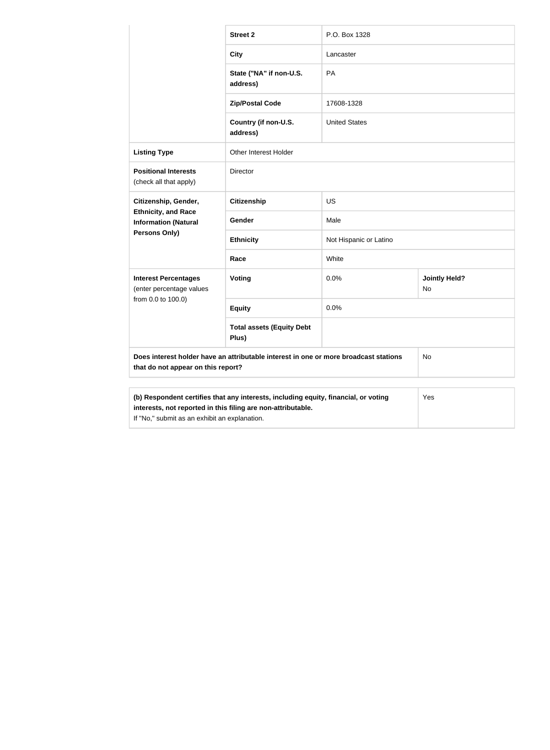|                                                                                                                                                                                                             | <b>Street 2</b>                           | P.O. Box 1328          |                            |
|-------------------------------------------------------------------------------------------------------------------------------------------------------------------------------------------------------------|-------------------------------------------|------------------------|----------------------------|
|                                                                                                                                                                                                             | <b>City</b>                               | Lancaster              |                            |
|                                                                                                                                                                                                             | State ("NA" if non-U.S.<br>address)       | PA                     |                            |
|                                                                                                                                                                                                             | <b>Zip/Postal Code</b>                    | 17608-1328             |                            |
|                                                                                                                                                                                                             | Country (if non-U.S.<br>address)          | <b>United States</b>   |                            |
| <b>Listing Type</b>                                                                                                                                                                                         | Other Interest Holder                     |                        |                            |
| <b>Positional Interests</b><br>(check all that apply)                                                                                                                                                       | <b>Director</b>                           |                        |                            |
| Citizenship, Gender,                                                                                                                                                                                        | <b>Citizenship</b>                        | US                     |                            |
| <b>Ethnicity, and Race</b><br><b>Information (Natural</b>                                                                                                                                                   | Gender                                    | Male                   |                            |
| Persons Only)                                                                                                                                                                                               | <b>Ethnicity</b>                          | Not Hispanic or Latino |                            |
|                                                                                                                                                                                                             | Race                                      | White                  |                            |
| <b>Interest Percentages</b><br>(enter percentage values                                                                                                                                                     | Voting                                    | 0.0%                   | <b>Jointly Held?</b><br>No |
| from 0.0 to 100.0)                                                                                                                                                                                          | <b>Equity</b>                             | 0.0%                   |                            |
|                                                                                                                                                                                                             | <b>Total assets (Equity Debt</b><br>Plus) |                        |                            |
| Does interest holder have an attributable interest in one or more broadcast stations<br>that do not appear on this report?                                                                                  |                                           | No                     |                            |
|                                                                                                                                                                                                             |                                           |                        |                            |
| (b) Respondent certifies that any interests, including equity, financial, or voting<br>Yes<br>interests, not reported in this filing are non-attributable.<br>If "No," submit as an exhibit an explanation. |                                           |                        |                            |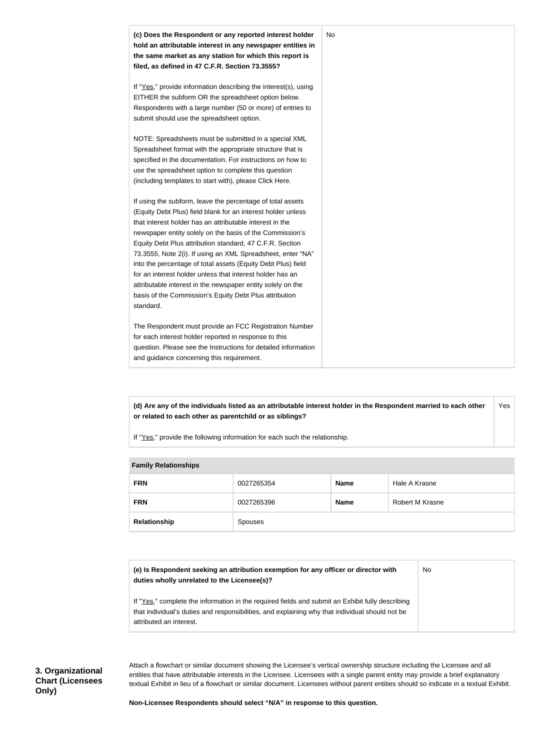

**(d) Are any of the individuals listed as an attributable interest holder in the Respondent married to each other or related to each other as parentchild or as siblings?** Yes

If "Yes," provide the following information for each such the relationship.

| <b>Fallilly Relativitating</b> |            |             |                 |
|--------------------------------|------------|-------------|-----------------|
| <b>FRN</b>                     | 0027265354 | <b>Name</b> | Hale A Krasne   |
| <b>FRN</b>                     | 0027265396 | <b>Name</b> | Robert M Krasne |
| Relationship                   | Spouses    |             |                 |

#### **Family Relationships**

| (e) Is Respondent seeking an attribution exemption for any officer or director with<br>duties wholly unrelated to the Licensee(s)?                                                                  | No |
|-----------------------------------------------------------------------------------------------------------------------------------------------------------------------------------------------------|----|
| If "Yes," complete the information in the required fields and submit an Exhibit fully describing<br>that individual's duties and responsibilities, and explaining why that individual should not be |    |
| attributed an interest.                                                                                                                                                                             |    |

Attach a flowchart or similar document showing the Licensee's vertical ownership structure including the Licensee and all entities that have attributable interests in the Licensee. Licensees with a single parent entity may provide a brief explanatory textual Exhibit in lieu of a flowchart or similar document. Licensees without parent entities should so indicate in a textual Exhibit.

**Non-Licensee Respondents should select "N/A" in response to this question.**